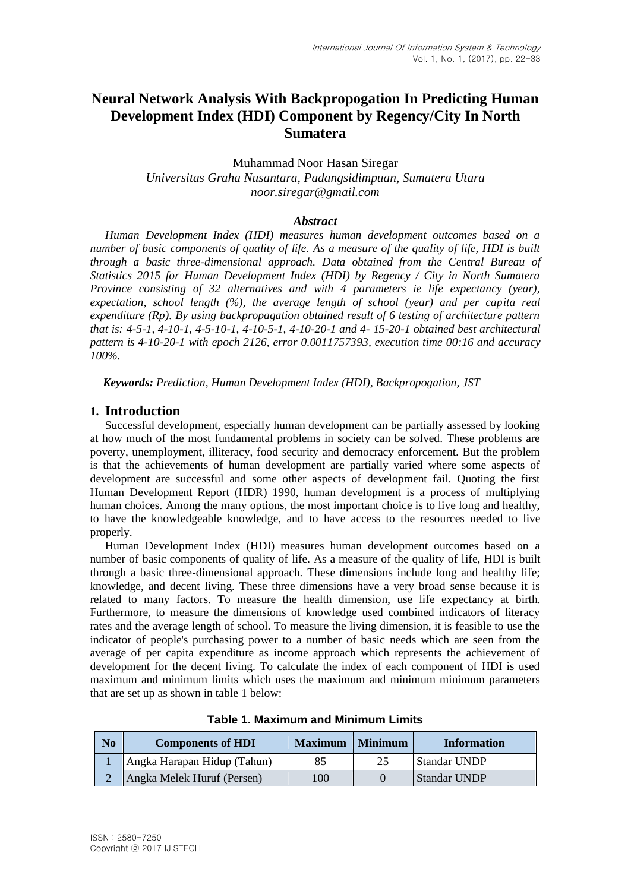# **Neural Network Analysis With Backpropogation In Predicting Human Development Index (HDI) Component by Regency/City In North Sumatera**

Muhammad Noor Hasan Siregar *Universitas Graha Nusantara, Padangsidimpuan, Sumatera Utara noor.siregar@gmail.com*

#### *Abstract*

*Human Development Index (HDI) measures human development outcomes based on a number of basic components of quality of life. As a measure of the quality of life, HDI is built through a basic three-dimensional approach. Data obtained from the Central Bureau of Statistics 2015 for Human Development Index (HDI) by Regency / City in North Sumatera Province consisting of 32 alternatives and with 4 parameters ie life expectancy (year), expectation, school length (%), the average length of school (year) and per capita real expenditure (Rp). By using backpropagation obtained result of 6 testing of architecture pattern that is: 4-5-1, 4-10-1, 4-5-10-1, 4-10-5-1, 4-10-20-1 and 4- 15-20-1 obtained best architectural pattern is 4-10-20-1 with epoch 2126, error 0.0011757393, execution time 00:16 and accuracy 100%.*

*Keywords: Prediction, Human Development Index (HDI), Backpropogation, JST*

### **1. Introduction**

Successful development, especially human development can be partially assessed by looking at how much of the most fundamental problems in society can be solved. These problems are poverty, unemployment, illiteracy, food security and democracy enforcement. But the problem is that the achievements of human development are partially varied where some aspects of development are successful and some other aspects of development fail. Quoting the first Human Development Report (HDR) 1990, human development is a process of multiplying human choices. Among the many options, the most important choice is to live long and healthy, to have the knowledgeable knowledge, and to have access to the resources needed to live properly.

Human Development Index (HDI) measures human development outcomes based on a number of basic components of quality of life. As a measure of the quality of life, HDI is built through a basic three-dimensional approach. These dimensions include long and healthy life; knowledge, and decent living. These three dimensions have a very broad sense because it is related to many factors. To measure the health dimension, use life expectancy at birth. Furthermore, to measure the dimensions of knowledge used combined indicators of literacy rates and the average length of school. To measure the living dimension, it is feasible to use the indicator of people's purchasing power to a number of basic needs which are seen from the average of per capita expenditure as income approach which represents the achievement of development for the decent living. To calculate the index of each component of HDI is used maximum and minimum limits which uses the maximum and minimum minimum parameters that are set up as shown in table 1 below:

| No | <b>Components of HDI</b>    | <b>Maximum</b> | <b>Minimum</b> | <b>Information</b>  |
|----|-----------------------------|----------------|----------------|---------------------|
|    | Angka Harapan Hidup (Tahun) | 85             |                | Standar UNDP        |
|    | Angka Melek Huruf (Persen)  | 100            |                | <b>Standar UNDP</b> |

| <b>Table 1. Maximum and Minimum Limits</b> |  |
|--------------------------------------------|--|
|--------------------------------------------|--|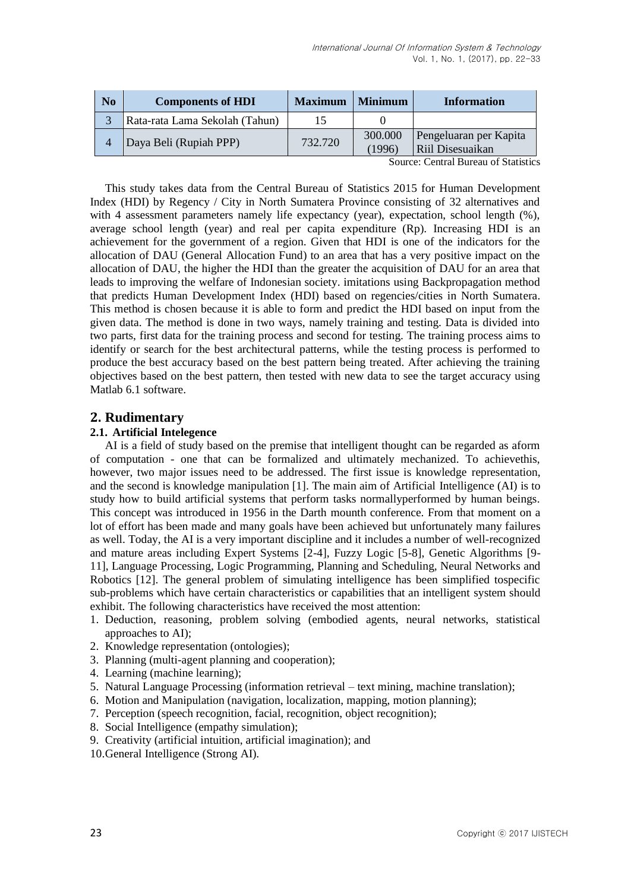| N <sub>0</sub> | <b>Components of HDI</b>       | <b>Maximum</b> | <b>Minimum</b>    | <b>Information</b>                         |
|----------------|--------------------------------|----------------|-------------------|--------------------------------------------|
|                | Rata-rata Lama Sekolah (Tahun) | 15             |                   |                                            |
|                | Daya Beli (Rupiah PPP)         | 732.720        | 300.000<br>(1996) | Pengeluaran per Kapita<br>Riil Disesuaikan |

Source: Central Bureau of Statistics

This study takes data from the Central Bureau of Statistics 2015 for Human Development Index (HDI) by Regency / City in North Sumatera Province consisting of 32 alternatives and with 4 assessment parameters namely life expectancy (year), expectation, school length (%), average school length (year) and real per capita expenditure (Rp). Increasing HDI is an achievement for the government of a region. Given that HDI is one of the indicators for the allocation of DAU (General Allocation Fund) to an area that has a very positive impact on the allocation of DAU, the higher the HDI than the greater the acquisition of DAU for an area that leads to improving the welfare of Indonesian society. imitations using Backpropagation method that predicts Human Development Index (HDI) based on regencies/cities in North Sumatera. This method is chosen because it is able to form and predict the HDI based on input from the given data. The method is done in two ways, namely training and testing. Data is divided into two parts, first data for the training process and second for testing. The training process aims to identify or search for the best architectural patterns, while the testing process is performed to produce the best accuracy based on the best pattern being treated. After achieving the training objectives based on the best pattern, then tested with new data to see the target accuracy using Matlab 6.1 software.

## **2. Rudimentary**

#### **2.1. Artificial Intelegence**

AI is a field of study based on the premise that intelligent thought can be regarded as aform of computation - one that can be formalized and ultimately mechanized. To achievethis, however, two major issues need to be addressed. The first issue is knowledge representation, and the second is knowledge manipulation [1]. The main aim of Artificial Intelligence (AI) is to study how to build artificial systems that perform tasks normallyperformed by human beings. This concept was introduced in 1956 in the Darth mounth conference. From that moment on a lot of effort has been made and many goals have been achieved but unfortunately many failures as well. Today, the AI is a very important discipline and it includes a number of well-recognized and mature areas including Expert Systems [2-4], Fuzzy Logic [5-8], Genetic Algorithms [9- 11], Language Processing, Logic Programming, Planning and Scheduling, Neural Networks and Robotics [12]. The general problem of simulating intelligence has been simplified tospecific sub-problems which have certain characteristics or capabilities that an intelligent system should exhibit. The following characteristics have received the most attention:

- 1. Deduction, reasoning, problem solving (embodied agents, neural networks, statistical approaches to AI);
- 2. Knowledge representation (ontologies);
- 3. Planning (multi-agent planning and cooperation);
- 4. Learning (machine learning);
- 5. Natural Language Processing (information retrieval text mining, machine translation);
- 6. Motion and Manipulation (navigation, localization, mapping, motion planning);
- 7. Perception (speech recognition, facial, recognition, object recognition);
- 8. Social Intelligence (empathy simulation);
- 9. Creativity (artificial intuition, artificial imagination); and
- 10.General Intelligence (Strong AI).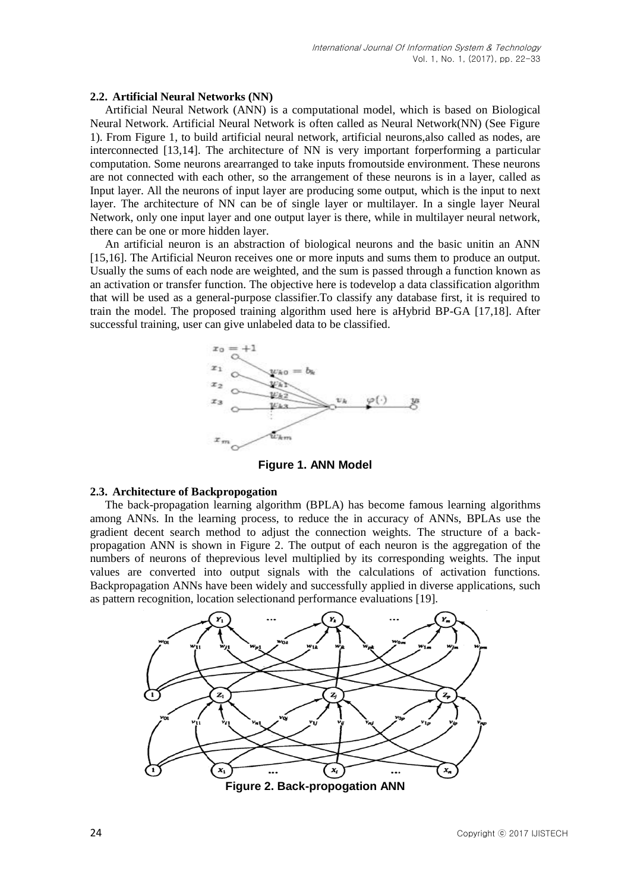#### **2.2. Artificial Neural Networks (NN)**

Artificial Neural Network (ANN) is a computational model, which is based on Biological Neural Network. Artificial Neural Network is often called as Neural Network(NN) (See Figure 1). From Figure 1, to build artificial neural network, artificial neurons,also called as nodes, are interconnected [13,14]. The architecture of NN is very important forperforming a particular computation. Some neurons arearranged to take inputs fromoutside environment. These neurons are not connected with each other, so the arrangement of these neurons is in a layer, called as Input layer. All the neurons of input layer are producing some output, which is the input to next layer. The architecture of NN can be of single layer or multilayer. In a single layer Neural Network, only one input layer and one output layer is there, while in multilayer neural network, there can be one or more hidden layer.

An artificial neuron is an abstraction of biological neurons and the basic unitin an ANN [15,16]. The Artificial Neuron receives one or more inputs and sums them to produce an output. Usually the sums of each node are weighted, and the sum is passed through a function known as an activation or transfer function. The objective here is todevelop a data classification algorithm that will be used as a general-purpose classifier.To classify any database first, it is required to train the model. The proposed training algorithm used here is aHybrid BP-GA [17,18]. After successful training, user can give unlabeled data to be classified.



**Figure 1. ANN Model**

#### **2.3. Architecture of Backpropogation**

The back-propagation learning algorithm (BPLA) has become famous learning algorithms among ANNs. In the learning process, to reduce the in accuracy of ANNs, BPLAs use the gradient decent search method to adjust the connection weights. The structure of a backpropagation ANN is shown in Figure 2. The output of each neuron is the aggregation of the numbers of neurons of theprevious level multiplied by its corresponding weights. The input values are converted into output signals with the calculations of activation functions. Backpropagation ANNs have been widely and successfully applied in diverse applications, such as pattern recognition, location selectionand performance evaluations [19].



**24** Copyright © 2017 IJISTECH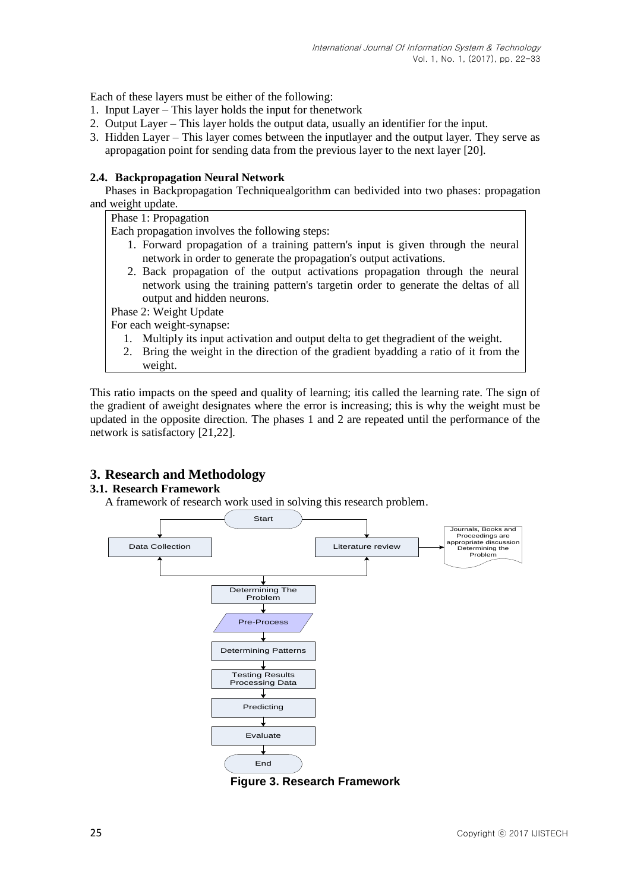Each of these layers must be either of the following:

- 1. Input Layer This layer holds the input for thenetwork
- 2. Output Layer This layer holds the output data, usually an identifier for the input.
- 3. Hidden Layer This layer comes between the inputlayer and the output layer. They serve as apropagation point for sending data from the previous layer to the next layer [20].

#### **2.4. Backpropagation Neural Network**

Phases in Backpropagation Techniquealgorithm can bedivided into two phases: propagation and weight update.

Phase 1: Propagation

Each propagation involves the following steps:

- 1. Forward propagation of a training pattern's input is given through the neural network in order to generate the propagation's output activations.
- 2. Back propagation of the output activations propagation through the neural network using the training pattern's targetin order to generate the deltas of all output and hidden neurons.

Phase 2: Weight Update

For each weight-synapse:

- 1. Multiply its input activation and output delta to get thegradient of the weight.
- 2. Bring the weight in the direction of the gradient byadding a ratio of it from the weight.

This ratio impacts on the speed and quality of learning; itis called the learning rate. The sign of the gradient of aweight designates where the error is increasing; this is why the weight must be updated in the opposite direction. The phases 1 and 2 are repeated until the performance of the network is satisfactory [21,22].

## **3. Research and Methodology**

#### **3.1. Research Framework**

A framework of research work used in solving this research problem.



**Figure 3. Research Framework**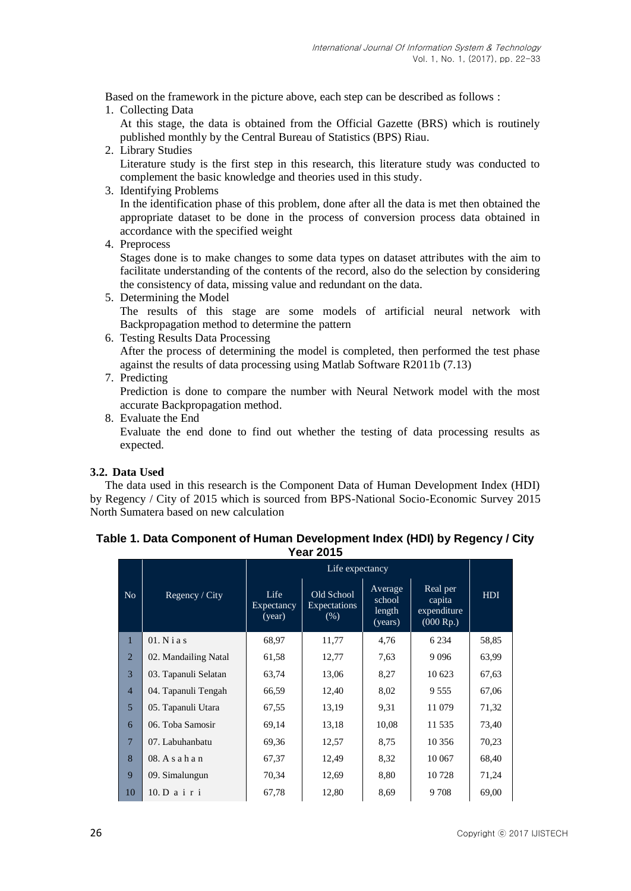Based on the framework in the picture above, each step can be described as follows :

- 1. Collecting Data At this stage, the data is obtained from the Official Gazette (BRS) which is routinely published monthly by the Central Bureau of Statistics (BPS) Riau.
- 2. Library Studies

Literature study is the first step in this research, this literature study was conducted to complement the basic knowledge and theories used in this study.

3. Identifying Problems

In the identification phase of this problem, done after all the data is met then obtained the appropriate dataset to be done in the process of conversion process data obtained in accordance with the specified weight

4. Preprocess

Stages done is to make changes to some data types on dataset attributes with the aim to facilitate understanding of the contents of the record, also do the selection by considering the consistency of data, missing value and redundant on the data.

- 5. Determining the Model The results of this stage are some models of artificial neural network with Backpropagation method to determine the pattern
- 6. Testing Results Data Processing

After the process of determining the model is completed, then performed the test phase against the results of data processing using Matlab Software R2011b (7.13)

7. Predicting

Prediction is done to compare the number with Neural Network model with the most accurate Backpropagation method.

8. Evaluate the End

Evaluate the end done to find out whether the testing of data processing results as expected*.*

#### **3.2. Data Used**

The data used in this research is the Component Data of Human Development Index (HDI) by Regency / City of 2015 which is sourced from BPS-National Socio-Economic Survey 2015 North Sumatera based on new calculation

### **Table 1. Data Component of Human Development Index (HDI) by Regency / City Year 2015**

| No             | Regency / City       | Life<br>Expectancy<br>(year) | Old School<br>Expectations<br>(% ) | Average<br>school<br>length<br>(years) | Real per<br>capita<br>expenditure<br>(000 Rp.) | <b>HDI</b> |
|----------------|----------------------|------------------------------|------------------------------------|----------------------------------------|------------------------------------------------|------------|
| 1              | $01.$ N i a s        | 68,97                        | 11,77                              | 4,76                                   | 6 2 3 4                                        | 58,85      |
| $\overline{2}$ | 02. Mandailing Natal | 61,58                        | 12,77                              | 7,63                                   | 9 0 9 6                                        | 63,99      |
| 3              | 03. Tapanuli Selatan | 63,74                        | 13,06                              | 8,27                                   | 10 623                                         | 67,63      |
| $\overline{4}$ | 04. Tapanuli Tengah  | 66,59                        | 12,40                              | 8,02                                   | 9 5 5 5                                        | 67,06      |
| 5              | 05. Tapanuli Utara   | 67,55                        | 13,19                              | 9,31                                   | 11 079                                         | 71,32      |
| 6              | 06. Toba Samosir     | 69,14                        | 13,18                              | 10,08                                  | 11 535                                         | 73,40      |
| $\overline{7}$ | 07. Labuhanbatu      | 69,36                        | 12,57                              | 8,75                                   | 10 35 6                                        | 70,23      |
| 8              | 08. A s a h a n      | 67,37                        | 12,49                              | 8,32                                   | 10 067                                         | 68,40      |
| 9              | 09. Simalungun       | 70,34                        | 12,69                              | 8,80                                   | 10728                                          | 71,24      |
| 10             | 10. D a i r i        | 67,78                        | 12,80                              | 8,69                                   | 9708                                           | 69,00      |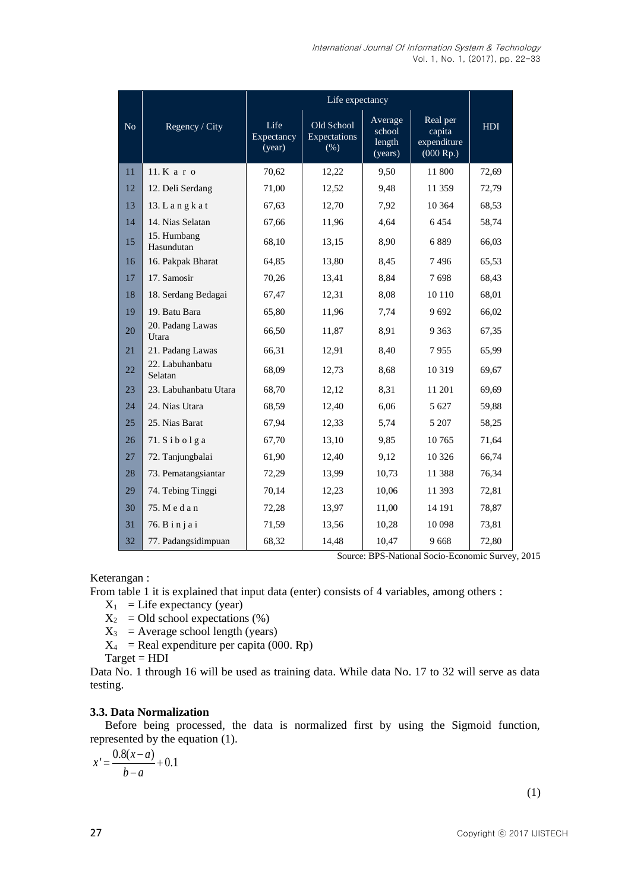|                                                                                                                                                                                                                                                                                                                                                                                                                                                                                                                                                                                                                                      |    |                            | Life expectancy              |                                    |                                        |                                                  |                |  |
|--------------------------------------------------------------------------------------------------------------------------------------------------------------------------------------------------------------------------------------------------------------------------------------------------------------------------------------------------------------------------------------------------------------------------------------------------------------------------------------------------------------------------------------------------------------------------------------------------------------------------------------|----|----------------------------|------------------------------|------------------------------------|----------------------------------------|--------------------------------------------------|----------------|--|
|                                                                                                                                                                                                                                                                                                                                                                                                                                                                                                                                                                                                                                      | No | Regency / City             | Life<br>Expectancy<br>(year) | Old School<br>Expectations<br>(% ) | Average<br>school<br>length<br>(years) | Real per<br>capita<br>expenditure<br>$(000$ Rp.) | <b>HDI</b>     |  |
|                                                                                                                                                                                                                                                                                                                                                                                                                                                                                                                                                                                                                                      | 11 | 11. K a r o                | 70,62                        | 12,22                              | 9,50                                   | 11 800                                           | 72,69          |  |
|                                                                                                                                                                                                                                                                                                                                                                                                                                                                                                                                                                                                                                      | 12 | 12. Deli Serdang           | 71,00                        | 12,52                              | 9,48                                   | 11 359                                           | 72,79          |  |
|                                                                                                                                                                                                                                                                                                                                                                                                                                                                                                                                                                                                                                      | 13 | 13. L a n g k a t          | 67,63                        | 12,70                              | 7,92                                   | 10 3 64                                          | 68,53          |  |
|                                                                                                                                                                                                                                                                                                                                                                                                                                                                                                                                                                                                                                      | 14 | 14. Nias Selatan           | 67,66                        | 11,96                              | 4,64                                   | 6454                                             | 58,74          |  |
|                                                                                                                                                                                                                                                                                                                                                                                                                                                                                                                                                                                                                                      | 15 | 15. Humbang<br>Hasundutan  | 68,10                        | 13,15                              | 8,90                                   | 6889                                             | 66,03          |  |
|                                                                                                                                                                                                                                                                                                                                                                                                                                                                                                                                                                                                                                      | 16 | 16. Pakpak Bharat          | 64,85                        | 13,80                              | 8,45                                   | 7496                                             | 65,53          |  |
|                                                                                                                                                                                                                                                                                                                                                                                                                                                                                                                                                                                                                                      | 17 | 17. Samosir                | 70,26                        | 13,41                              | 8,84                                   | 7698                                             | 68,43          |  |
|                                                                                                                                                                                                                                                                                                                                                                                                                                                                                                                                                                                                                                      | 18 | 18. Serdang Bedagai        | 67,47                        | 12,31                              | 8,08                                   | 10 110                                           | 68,01          |  |
|                                                                                                                                                                                                                                                                                                                                                                                                                                                                                                                                                                                                                                      | 19 | 19. Batu Bara              | 65,80                        | 11,96                              | 7,74                                   | 9692                                             | 66,02          |  |
|                                                                                                                                                                                                                                                                                                                                                                                                                                                                                                                                                                                                                                      | 20 | 20. Padang Lawas<br>Utara  | 66,50                        | 11,87                              | 8,91                                   | 9 3 6 3                                          | 67,35          |  |
|                                                                                                                                                                                                                                                                                                                                                                                                                                                                                                                                                                                                                                      | 21 | 21. Padang Lawas           | 66,31                        | 12,91                              | 8,40                                   | 7955                                             | 65,99          |  |
|                                                                                                                                                                                                                                                                                                                                                                                                                                                                                                                                                                                                                                      | 22 | 22. Labuhanbatu<br>Selatan | 68,09                        | 12,73                              | 8,68                                   | 10 3 19                                          | 69,67          |  |
|                                                                                                                                                                                                                                                                                                                                                                                                                                                                                                                                                                                                                                      | 23 | 23. Labuhanbatu Utara      | 68,70                        | 12,12                              | 8,31                                   | 11 201                                           | 69,69          |  |
|                                                                                                                                                                                                                                                                                                                                                                                                                                                                                                                                                                                                                                      | 24 | 24. Nias Utara             | 68,59                        | 12,40                              | 6,06                                   | 5 6 27                                           | 59,88          |  |
|                                                                                                                                                                                                                                                                                                                                                                                                                                                                                                                                                                                                                                      | 25 | 25. Nias Barat             | 67,94                        | 12,33                              | 5,74                                   | 5 207                                            | 58,25          |  |
|                                                                                                                                                                                                                                                                                                                                                                                                                                                                                                                                                                                                                                      | 26 | 71. Sibolga                | 67,70                        | 13,10                              | 9,85                                   | 10 765                                           | 71,64          |  |
|                                                                                                                                                                                                                                                                                                                                                                                                                                                                                                                                                                                                                                      | 27 | 72. Tanjungbalai           | 61,90                        | 12,40                              | 9,12                                   | 10 3 26                                          | 66,74          |  |
|                                                                                                                                                                                                                                                                                                                                                                                                                                                                                                                                                                                                                                      | 28 | 73. Pematangsiantar        | 72,29                        | 13,99                              | 10,73                                  | 11 388                                           | 76,34          |  |
|                                                                                                                                                                                                                                                                                                                                                                                                                                                                                                                                                                                                                                      | 29 | 74. Tebing Tinggi          | 70,14                        | 12,23                              | 10,06                                  | 11 393                                           | 72,81          |  |
|                                                                                                                                                                                                                                                                                                                                                                                                                                                                                                                                                                                                                                      | 30 | 75. M e d a n              | 72,28                        | 13,97                              | 11,00                                  | 14 191                                           | 78,87          |  |
|                                                                                                                                                                                                                                                                                                                                                                                                                                                                                                                                                                                                                                      | 31 | 76. B i n j a i            | 71,59                        | 13,56                              | 10,28                                  | 10 098                                           | 73,81          |  |
|                                                                                                                                                                                                                                                                                                                                                                                                                                                                                                                                                                                                                                      | 32 | 77. Padangsidimpuan        | 68,32                        | 14,48                              | 10,47                                  | 9668                                             | 72,80          |  |
| Source: BPS-National Socio-Economic Survey,<br>eterangan:<br>om table 1 it is explained that input data (enter) consists of 4 variables, among others :<br>$X_1$ = Life expectancy (year)<br>$X_2 = Old school expectations$ (%)<br>$X_3$ = Average school length (years)<br>$X_4$ = Real expenditure per capita (000. Rp)<br>$Target = HDI$<br>ata No. 1 through 16 will be used as training data. While data No. 17 to 32 will serve as<br>sting.<br>3. Data Normalization<br>Before being processed, the data is normalized first by using the Sigmoid func<br>presented by the equation (1).<br>$y = \frac{0.8(x-a)}{b-a} + 0.1$ |    |                            |                              |                                    |                                        |                                                  |                |  |
|                                                                                                                                                                                                                                                                                                                                                                                                                                                                                                                                                                                                                                      |    |                            |                              |                                    |                                        |                                                  | Copyright © 20 |  |

Source: BPS-National Socio-Economic Survey, 2015

Keterangan :

Data No. 1 through 16 will be used as training data. While data No. 17 to 32 will serve as data testing.

#### **3.3. Data Normalization**

Before being processed, the data is normalized first by using the Sigmoid function, represented by the equation (1).

$$
x' = \frac{0.8(x-a)}{b-a} + 0.1
$$

(1)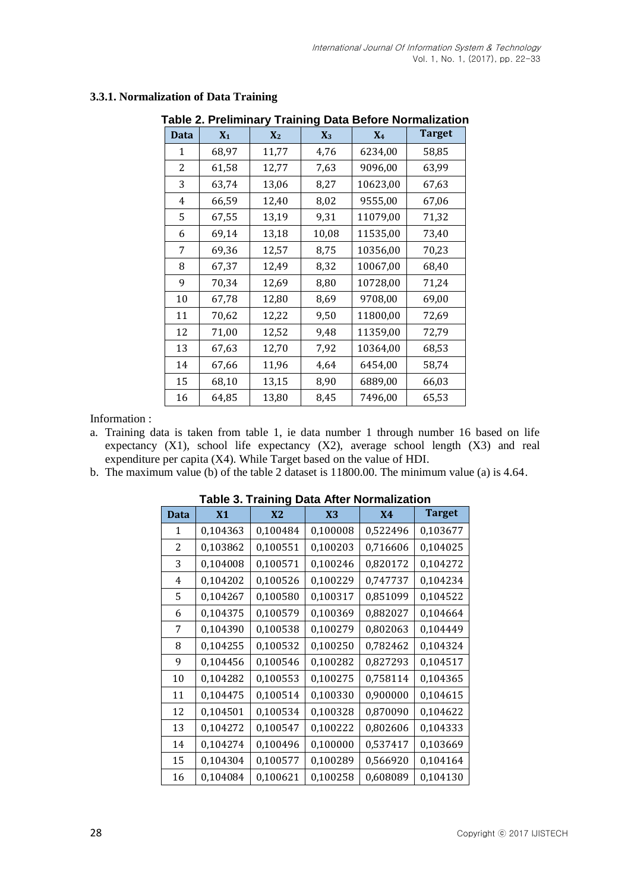|      | avic 2. Ficiliililai yhtäming Dala Beloie Normalization |       |       |          |               |  |  |  |  |
|------|---------------------------------------------------------|-------|-------|----------|---------------|--|--|--|--|
| Data | $X_1$                                                   | $X_2$ | $X_3$ | $X_4$    | <b>Target</b> |  |  |  |  |
| 1    | 68,97                                                   | 11,77 | 4,76  | 6234,00  | 58,85         |  |  |  |  |
| 2    | 61,58                                                   | 12,77 | 7,63  | 9096,00  | 63,99         |  |  |  |  |
| 3    | 63,74                                                   | 13,06 | 8,27  | 10623,00 | 67,63         |  |  |  |  |
| 4    | 66,59                                                   | 12,40 | 8,02  | 9555,00  | 67,06         |  |  |  |  |
| 5    | 67,55                                                   | 13,19 | 9,31  | 11079,00 | 71,32         |  |  |  |  |
| 6    | 69,14                                                   | 13,18 | 10,08 | 11535,00 | 73,40         |  |  |  |  |
| 7    | 69,36                                                   | 12,57 | 8,75  | 10356,00 | 70,23         |  |  |  |  |
| 8    | 67,37                                                   | 12,49 | 8,32  | 10067,00 | 68,40         |  |  |  |  |
| 9    | 70,34                                                   | 12,69 | 8,80  | 10728,00 | 71,24         |  |  |  |  |
| 10   | 67,78                                                   | 12,80 | 8,69  | 9708,00  | 69,00         |  |  |  |  |
| 11   | 70,62                                                   | 12,22 | 9,50  | 11800,00 | 72,69         |  |  |  |  |
| 12   | 71,00                                                   | 12,52 | 9,48  | 11359,00 | 72,79         |  |  |  |  |
| 13   | 67,63                                                   | 12,70 | 7,92  | 10364,00 | 68,53         |  |  |  |  |
| 14   | 67,66                                                   | 11,96 | 4,64  | 6454,00  | 58,74         |  |  |  |  |
| 15   | 68,10                                                   | 13,15 | 8,90  | 6889,00  | 66,03         |  |  |  |  |
| 16   | 64,85                                                   | 13,80 | 8,45  | 7496,00  | 65,53         |  |  |  |  |

## **3.3.1. Normalization of Data Training**

# **Table 2. Preliminary Training Data Before Normalization**

Information :

- a. Training data is taken from table 1, ie data number 1 through number 16 based on life expectancy (X1), school life expectancy (X2), average school length (X3) and real expenditure per capita (X4). While Target based on the value of HDI.
- b. The maximum value (b) of the table 2 dataset is 11800.00. The minimum value (a) is 4.64.

| Data | X1       | X <sub>2</sub> | X3       | <b>X4</b> | <b>Target</b> |
|------|----------|----------------|----------|-----------|---------------|
| 1    | 0,104363 | 0,100484       | 0,100008 | 0,522496  | 0,103677      |
| 2    | 0,103862 | 0,100551       | 0,100203 | 0,716606  | 0,104025      |
| 3    | 0,104008 | 0,100571       | 0,100246 | 0,820172  | 0,104272      |
| 4    | 0,104202 | 0,100526       | 0,100229 | 0,747737  | 0,104234      |
| 5    | 0,104267 | 0,100580       | 0,100317 | 0,851099  | 0,104522      |
| 6    | 0,104375 | 0,100579       | 0,100369 | 0,882027  | 0,104664      |
| 7    | 0,104390 | 0,100538       | 0,100279 | 0,802063  | 0,104449      |
| 8    | 0,104255 | 0,100532       | 0,100250 | 0,782462  | 0,104324      |
| 9    | 0,104456 | 0,100546       | 0,100282 | 0,827293  | 0,104517      |
| 10   | 0,104282 | 0,100553       | 0,100275 | 0,758114  | 0,104365      |
| 11   | 0,104475 | 0,100514       | 0,100330 | 0,900000  | 0,104615      |
| 12   | 0,104501 | 0,100534       | 0,100328 | 0,870090  | 0,104622      |
| 13   | 0,104272 | 0,100547       | 0,100222 | 0,802606  | 0,104333      |
| 14   | 0,104274 | 0,100496       | 0,100000 | 0,537417  | 0,103669      |
| 15   | 0,104304 | 0,100577       | 0,100289 | 0,566920  | 0,104164      |
| 16   | 0,104084 | 0,100621       | 0,100258 | 0,608089  | 0,104130      |

**Table 3. Training Data After Normalization**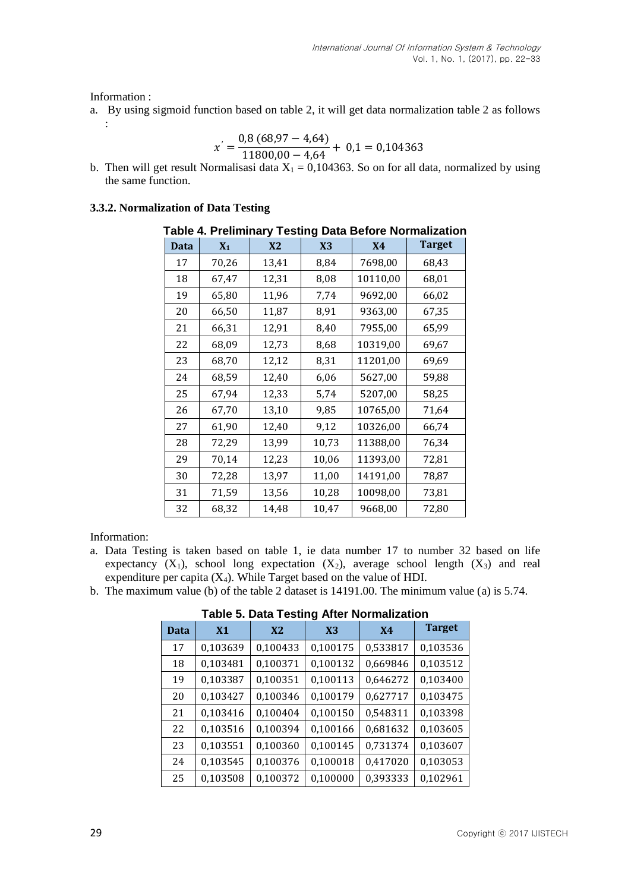Information :

a. By using sigmoid function based on table 2, it will get data normalization table 2 as follows :

$$
x' = \frac{0.8 (68.97 - 4.64)}{11800.00 - 4.64} + 0.1 = 0.104363
$$

b. Then will get result Normalisasi data  $X_1 = 0,104363$ . So on for all data, normalized by using the same function.

### **3.3.2. Normalization of Data Testing**

| <b>Data</b> | $X_1$ | X <sub>2</sub> | X3    | <b>X4</b> | <b>Target</b> |
|-------------|-------|----------------|-------|-----------|---------------|
| 17          | 70,26 | 13,41          | 8,84  | 7698,00   | 68,43         |
| 18          | 67,47 | 12,31          | 8,08  | 10110,00  | 68,01         |
| 19          | 65,80 | 11,96          | 7,74  | 9692,00   | 66,02         |
| 20          | 66,50 | 11,87          | 8,91  | 9363,00   | 67,35         |
| 21          | 66,31 | 12,91          | 8,40  | 7955,00   | 65,99         |
| 22          | 68,09 | 12,73          | 8,68  | 10319,00  | 69,67         |
| 23          | 68,70 | 12,12          | 8,31  | 11201,00  | 69,69         |
| 24          | 68,59 | 12,40          | 6,06  | 5627,00   | 59,88         |
| 25          | 67,94 | 12,33          | 5,74  | 5207,00   | 58,25         |
| 26          | 67,70 | 13,10          | 9,85  | 10765,00  | 71,64         |
| 27          | 61,90 | 12,40          | 9,12  | 10326,00  | 66,74         |
| 28          | 72,29 | 13,99          | 10,73 | 11388,00  | 76,34         |
| 29          | 70,14 | 12,23          | 10,06 | 11393,00  | 72,81         |
| 30          | 72,28 | 13,97          | 11,00 | 14191,00  | 78,87         |
| 31          | 71,59 | 13,56          | 10,28 | 10098,00  | 73,81         |
| 32          | 68,32 | 14,48          | 10,47 | 9668,00   | 72,80         |

# **Table 4. Preliminary Testing Data Before Normalization**

Information:

- a. Data Testing is taken based on table 1, ie data number 17 to number 32 based on life expectancy  $(X_1)$ , school long expectation  $(X_2)$ , average school length  $(X_3)$  and real expenditure per capita  $(X_4)$ . While Target based on the value of HDI.
- b. The maximum value (b) of the table 2 dataset is 14191.00. The minimum value (a) is 5.74.

| <b>Data</b> | X1       | X2       | X3       | <b>X4</b> | <b>Target</b> |  |  |
|-------------|----------|----------|----------|-----------|---------------|--|--|
| 17          | 0,103639 | 0,100433 | 0,100175 | 0,533817  | 0,103536      |  |  |
| 18          | 0,103481 | 0,100371 | 0,100132 | 0,669846  | 0,103512      |  |  |
| 19          | 0,103387 | 0,100351 | 0,100113 | 0,646272  | 0,103400      |  |  |
| 20          | 0,103427 | 0,100346 | 0,100179 | 0,627717  | 0,103475      |  |  |
| 21          | 0,103416 | 0,100404 | 0,100150 | 0,548311  | 0,103398      |  |  |
| 22          | 0,103516 | 0,100394 | 0,100166 | 0,681632  | 0,103605      |  |  |
| 23          | 0,103551 | 0,100360 | 0,100145 | 0,731374  | 0,103607      |  |  |
| 24          | 0,103545 | 0,100376 | 0,100018 | 0,417020  | 0,103053      |  |  |
| 25          | 0,103508 | 0,100372 | 0,100000 | 0,393333  | 0,102961      |  |  |

**Table 5. Data Testing After Normalization**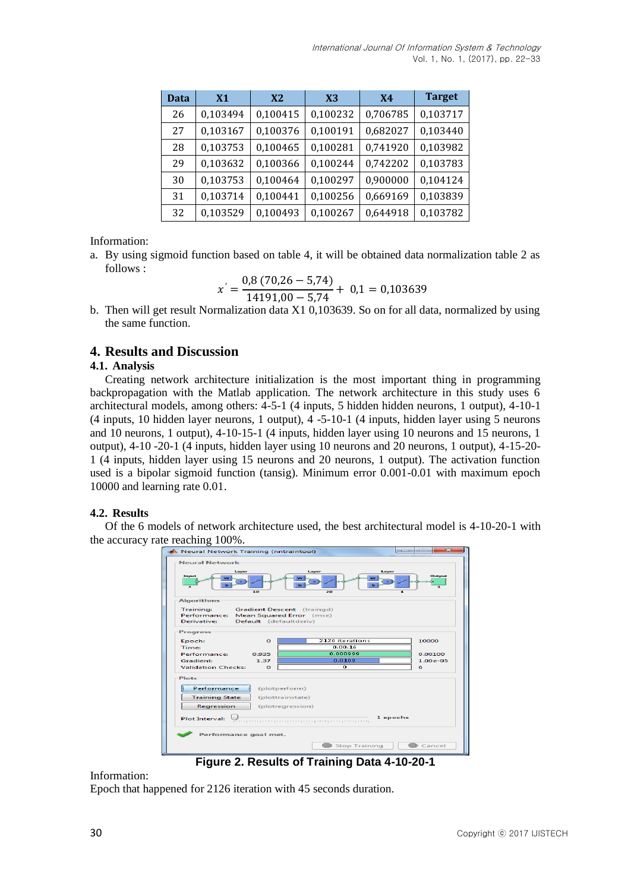| <b>Data</b> | X <sub>1</sub> | X <sub>2</sub> | X3       | <b>X4</b> | <b>Target</b> |
|-------------|----------------|----------------|----------|-----------|---------------|
| 26          | 0,103494       | 0,100415       | 0,100232 | 0,706785  | 0,103717      |
| 27          | 0,103167       | 0,100376       | 0,100191 | 0,682027  | 0,103440      |
| 28          | 0,103753       | 0,100465       | 0,100281 | 0,741920  | 0,103982      |
| 29          | 0,103632       | 0,100366       | 0,100244 | 0,742202  | 0,103783      |
| 30          | 0,103753       | 0,100464       | 0,100297 | 0,900000  | 0,104124      |
| 31          | 0,103714       | 0,100441       | 0,100256 | 0,669169  | 0,103839      |
| 32          | 0,103529       | 0,100493       | 0,100267 | 0,644918  | 0,103782      |

Information:

a. By using sigmoid function based on table 4, it will be obtained data normalization table 2 as follows :

$$
x' = \frac{0.8 (70.26 - 5.74)}{14191.00 - 5.74} + 0.1 = 0.103639
$$

b. Then will get result Normalization data X1 0,103639. So on for all data, normalized by using the same function.

### **4. Results and Discussion**

#### **4.1. Analysis**

Creating network architecture initialization is the most important thing in programming backpropagation with the Matlab application. The network architecture in this study uses 6 architectural models, among others: 4-5-1 (4 inputs, 5 hidden hidden neurons, 1 output), 4-10-1 (4 inputs, 10 hidden layer neurons, 1 output), 4 -5-10-1 (4 inputs, hidden layer using 5 neurons and 10 neurons, 1 output), 4-10-15-1 (4 inputs, hidden layer using 10 neurons and 15 neurons, 1 output), 4-10 -20-1 (4 inputs, hidden layer using 10 neurons and 20 neurons, 1 output), 4-15-20- 1 (4 inputs, hidden layer using 15 neurons and 20 neurons, 1 output). The activation function used is a bipolar sigmoid function (tansig). Minimum error 0.001-0.01 with maximum epoch 10000 and learning rate 0.01.

#### **4.2. Results**

Of the 6 models of network architecture used, the best architectural model is 4-10-20-1 with the accuracy rate reaching  $100\%$ .



**Figure 2. Results of Training Data 4-10-20-1**

Information:

Epoch that happened for 2126 iteration with 45 seconds duration.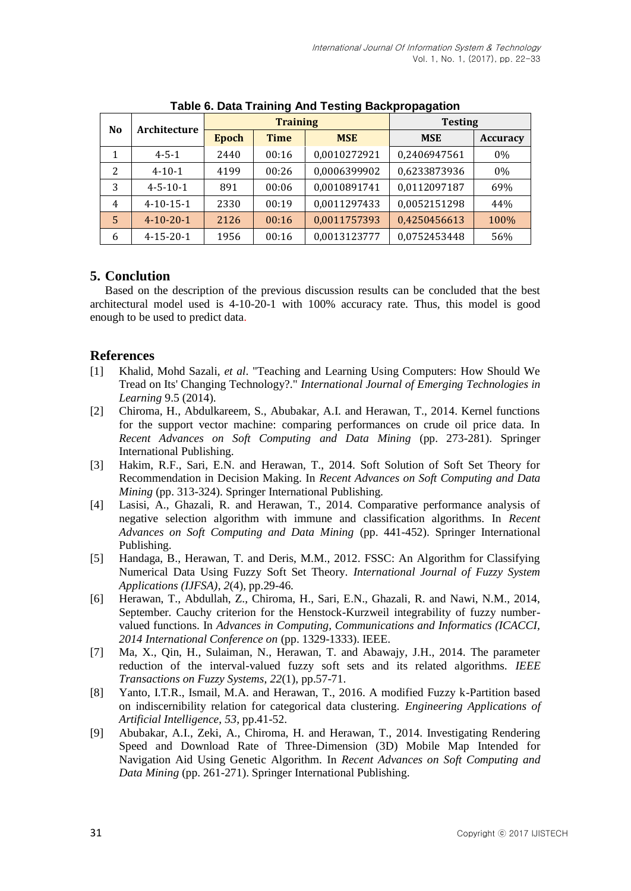| N <sub>0</sub> | Architecture      | <b>Training</b> |             |              | <b>Testing</b> |          |
|----------------|-------------------|-----------------|-------------|--------------|----------------|----------|
|                |                   | <b>Epoch</b>    | <b>Time</b> | <b>MSE</b>   | <b>MSE</b>     | Accuracy |
|                | $4 - 5 - 1$       | 2440            | 00:16       | 0,0010272921 | 0,2406947561   | $0\%$    |
| 2              | $4 - 10 - 1$      | 4199            | 00:26       | 0,0006399902 | 0,6233873936   | 0%       |
| 3              | $4 - 5 - 10 - 1$  | 891             | 00:06       | 0,0010891741 | 0,0112097187   | 69%      |
| 4              | $4 - 10 - 15 - 1$ | 2330            | 00:19       | 0,0011297433 | 0,0052151298   | 44%      |
| 5              | $4 - 10 - 20 - 1$ | 2126            | 00:16       | 0,0011757393 | 0,4250456613   | 100%     |
| 6              | $4 - 15 - 20 - 1$ | 1956            | 00:16       | 0,0013123777 | 0,0752453448   | 56%      |

**Table 6. Data Training And Testing Backpropagation**

# **5. Conclution**

Based on the description of the previous discussion results can be concluded that the best architectural model used is 4-10-20-1 with 100% accuracy rate. Thus, this model is good enough to be used to predict data.

## **References**

- [1] Khalid, Mohd Sazali, *et al*. "Teaching and Learning Using Computers: How Should We Tread on Its' Changing Technology?." *International Journal of Emerging Technologies in Learning* 9.5 (2014).
- [2] Chiroma, H., Abdulkareem, S., Abubakar, A.I. and Herawan, T., 2014. Kernel functions for the support vector machine: comparing performances on crude oil price data. In *Recent Advances on Soft Computing and Data Mining* (pp. 273-281). Springer International Publishing.
- [3] Hakim, R.F., Sari, E.N. and Herawan, T., 2014. Soft Solution of Soft Set Theory for Recommendation in Decision Making. In *Recent Advances on Soft Computing and Data Mining* (pp. 313-324). Springer International Publishing.
- [4] Lasisi, A., Ghazali, R. and Herawan, T., 2014. Comparative performance analysis of negative selection algorithm with immune and classification algorithms. In *Recent Advances on Soft Computing and Data Mining* (pp. 441-452). Springer International Publishing.
- [5] Handaga, B., Herawan, T. and Deris, M.M., 2012. FSSC: An Algorithm for Classifying Numerical Data Using Fuzzy Soft Set Theory. *International Journal of Fuzzy System Applications (IJFSA)*, *2*(4), pp.29-46.
- [6] Herawan, T., Abdullah, Z., Chiroma, H., Sari, E.N., Ghazali, R. and Nawi, N.M., 2014, September. Cauchy criterion for the Henstock-Kurzweil integrability of fuzzy numbervalued functions. In *Advances in Computing, Communications and Informatics (ICACCI, 2014 International Conference on* (pp. 1329-1333). IEEE.
- [7] Ma, X., Qin, H., Sulaiman, N., Herawan, T. and Abawajy, J.H., 2014. The parameter reduction of the interval-valued fuzzy soft sets and its related algorithms. *IEEE Transactions on Fuzzy Systems*, *22*(1), pp.57-71.
- [8] Yanto, I.T.R., Ismail, M.A. and Herawan, T., 2016. A modified Fuzzy k-Partition based on indiscernibility relation for categorical data clustering. *Engineering Applications of Artificial Intelligence*, *53*, pp.41-52.
- [9] Abubakar, A.I., Zeki, A., Chiroma, H. and Herawan, T., 2014. Investigating Rendering Speed and Download Rate of Three-Dimension (3D) Mobile Map Intended for Navigation Aid Using Genetic Algorithm. In *Recent Advances on Soft Computing and Data Mining* (pp. 261-271). Springer International Publishing.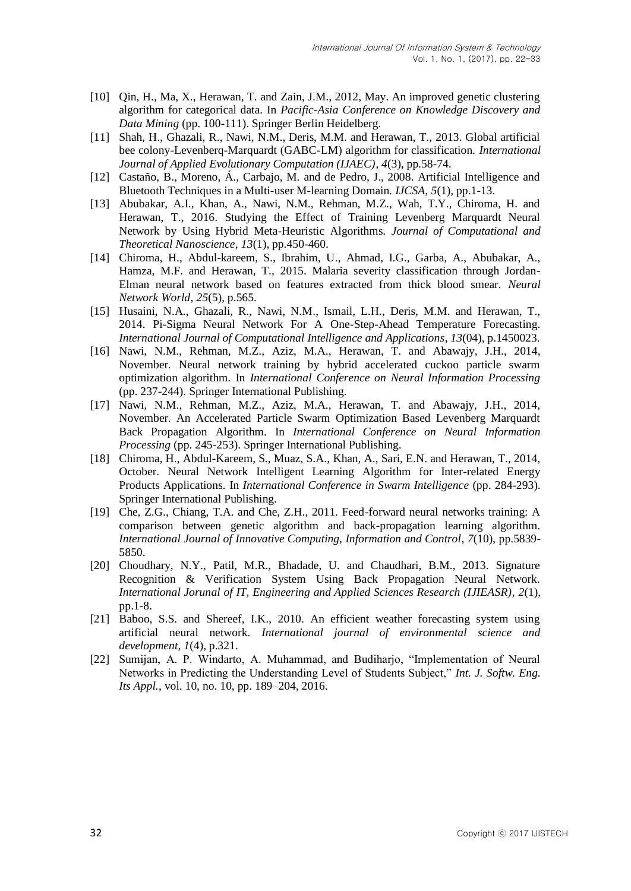- [10] Qin, H., Ma, X., Herawan, T. and Zain, J.M., 2012, May. An improved genetic clustering algorithm for categorical data. In *Pacific-Asia Conference on Knowledge Discovery and Data Mining* (pp. 100-111). Springer Berlin Heidelberg.
- [11] Shah, H., Ghazali, R., Nawi, N.M., Deris, M.M. and Herawan, T., 2013. Global artificial bee colony-Levenberq-Marquardt (GABC-LM) algorithm for classification. *International Journal of Applied Evolutionary Computation (IJAEC)*, *4*(3), pp.58-74.
- [12] Castaño, B., Moreno, Á., Carbajo, M. and de Pedro, J., 2008. Artificial Intelligence and Bluetooth Techniques in a Multi-user M-learning Domain. *IJCSA*, *5*(1), pp.1-13.
- [13] Abubakar, A.I., Khan, A., Nawi, N.M., Rehman, M.Z., Wah, T.Y., Chiroma, H. and Herawan, T., 2016. Studying the Effect of Training Levenberg Marquardt Neural Network by Using Hybrid Meta-Heuristic Algorithms. *Journal of Computational and Theoretical Nanoscience*, *13*(1), pp.450-460.
- [14] Chiroma, H., Abdul-kareem, S., Ibrahim, U., Ahmad, I.G., Garba, A., Abubakar, A., Hamza, M.F. and Herawan, T., 2015. Malaria severity classification through Jordan-Elman neural network based on features extracted from thick blood smear. *Neural Network World*, *25*(5), p.565.
- [15] Husaini, N.A., Ghazali, R., Nawi, N.M., Ismail, L.H., Deris, M.M. and Herawan, T., 2014. Pi-Sigma Neural Network For A One-Step-Ahead Temperature Forecasting. *International Journal of Computational Intelligence and Applications*, *13*(04), p.1450023.
- [16] Nawi, N.M., Rehman, M.Z., Aziz, M.A., Herawan, T. and Abawajy, J.H., 2014, November. Neural network training by hybrid accelerated cuckoo particle swarm optimization algorithm. In *International Conference on Neural Information Processing* (pp. 237-244). Springer International Publishing.
- [17] Nawi, N.M., Rehman, M.Z., Aziz, M.A., Herawan, T. and Abawajy, J.H., 2014, November. An Accelerated Particle Swarm Optimization Based Levenberg Marquardt Back Propagation Algorithm. In *International Conference on Neural Information Processing* (pp. 245-253). Springer International Publishing.
- [18] Chiroma, H., Abdul-Kareem, S., Muaz, S.A., Khan, A., Sari, E.N. and Herawan, T., 2014, October. Neural Network Intelligent Learning Algorithm for Inter-related Energy Products Applications. In *International Conference in Swarm Intelligence* (pp. 284-293). Springer International Publishing.
- [19] Che, Z.G., Chiang, T.A. and Che, Z.H., 2011. Feed-forward neural networks training: A comparison between genetic algorithm and back-propagation learning algorithm. *International Journal of Innovative Computing, Information and Control*, *7*(10), pp.5839- 5850.
- [20] Choudhary, N.Y., Patil, M.R., Bhadade, U. and Chaudhari, B.M., 2013. Signature Recognition & Verification System Using Back Propagation Neural Network. *International Jorunal of IT, Engineering and Applied Sciences Research (IJIEASR)*, *2*(1), pp.1-8.
- [21] Baboo, S.S. and Shereef, I.K., 2010. An efficient weather forecasting system using artificial neural network. *International journal of environmental science and development*, *1*(4), p.321.
- [22] Sumijan, A. P. Windarto, A. Muhammad, and Budiharjo, "Implementation of Neural Networks in Predicting the Understanding Level of Students Subject," *Int. J. Softw. Eng. Its Appl.*, vol. 10, no. 10, pp. 189–204, 2016.